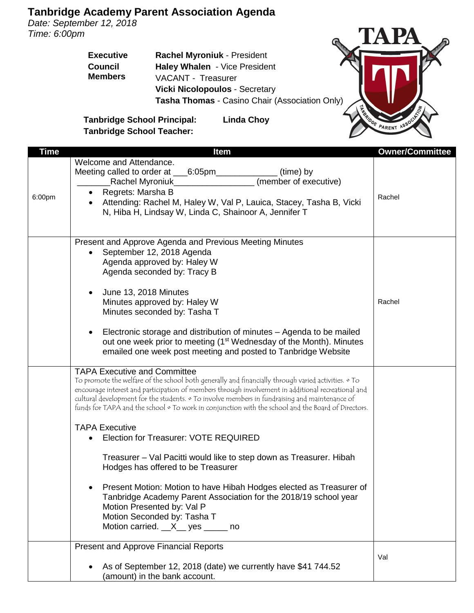*Date: September 12, 2018 Time: 6:00pm*

> **Executive Council Members Rachel Myroniuk** - President **Haley Whalen** - Vice President VACANT - Treasurer **Vicki Nicolopoulos** - Secretary **Tasha Thomas** - Casino Chair (Association Only)



**Tanbridge School Principal: Linda Choy Tanbridge School Teacher:**

| <b>Time</b> | <b>Item</b>                                                                                                                                                                                                                                                                                                                                                                                                                                                                                                                                                                                                                                                                                                                                                                                                                                                                             | <b>Owner/Committee</b> |
|-------------|-----------------------------------------------------------------------------------------------------------------------------------------------------------------------------------------------------------------------------------------------------------------------------------------------------------------------------------------------------------------------------------------------------------------------------------------------------------------------------------------------------------------------------------------------------------------------------------------------------------------------------------------------------------------------------------------------------------------------------------------------------------------------------------------------------------------------------------------------------------------------------------------|------------------------|
| 6:00pm      | Welcome and Attendance.<br>Meeting called to order at ___<br>(time) by<br>_6:05pm____<br>(member of executive)<br>_Rachel Myroniuk_<br>Regrets: Marsha B<br>Attending: Rachel M, Haley W, Val P, Lauica, Stacey, Tasha B, Vicki<br>N, Hiba H, Lindsay W, Linda C, Shainoor A, Jennifer T                                                                                                                                                                                                                                                                                                                                                                                                                                                                                                                                                                                                | Rachel                 |
|             | Present and Approve Agenda and Previous Meeting Minutes<br>September 12, 2018 Agenda<br>Agenda approved by: Haley W<br>Agenda seconded by: Tracy B<br>June 13, 2018 Minutes<br>Minutes approved by: Haley W<br>Minutes seconded by: Tasha T<br>Electronic storage and distribution of minutes - Agenda to be mailed<br>out one week prior to meeting (1 <sup>st</sup> Wednesday of the Month). Minutes<br>emailed one week post meeting and posted to Tanbridge Website                                                                                                                                                                                                                                                                                                                                                                                                                 | Rachel                 |
|             | <b>TAPA Executive and Committee</b><br>To promote the welfare of the school both generally and financially through varied activities. • To<br>encourage interest and participation of members through involvement in additional recreational and<br>cultural development for the students. • To involve members in fundraising and maintenance of<br>funds for TAPA and the school $\circ$ To work in conjunction with the school and the Board of Directors.<br><b>TAPA Executive</b><br>Election for Treasurer: VOTE REQUIRED<br>Treasurer - Val Pacitti would like to step down as Treasurer. Hibah<br>Hodges has offered to be Treasurer<br>Present Motion: Motion to have Hibah Hodges elected as Treasurer of<br>Tanbridge Academy Parent Association for the 2018/19 school year<br>Motion Presented by: Val P<br>Motion Seconded by: Tasha T<br>Motion carried. X_ yes _____ no |                        |
|             | <b>Present and Approve Financial Reports</b><br>As of September 12, 2018 (date) we currently have \$41 744.52<br>(amount) in the bank account.                                                                                                                                                                                                                                                                                                                                                                                                                                                                                                                                                                                                                                                                                                                                          | Val                    |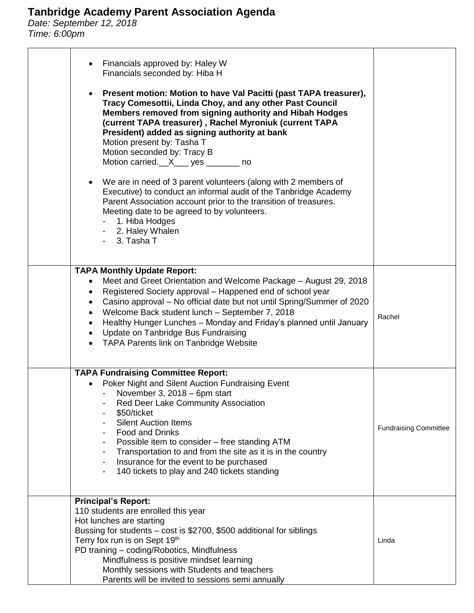*Date: September 12, 2018 Time: 6:00pm*

| Financials approved by: Haley W<br>Financials seconded by: Hiba H<br>Present motion: Motion to have Val Pacitti (past TAPA treasurer),<br>Tracy Comesottii, Linda Choy, and any other Past Council<br>Members removed from signing authority and Hibah Hodges<br>(current TAPA treasurer), Rachel Myroniuk (current TAPA<br>President) added as signing authority at bank<br>Motion present by: Tasha T<br>Motion seconded by: Tracy B<br>Motion carried.__X___ yes _______ no<br>We are in need of 3 parent volunteers (along with 2 members of<br>Executive) to conduct an informal audit of the Tanbridge Academy<br>Parent Association account prior to the transition of treasures.<br>Meeting date to be agreed to by volunteers.<br>1. Hiba Hodges<br>- 2. Haley Whalen<br>3. Tasha T |                              |
|----------------------------------------------------------------------------------------------------------------------------------------------------------------------------------------------------------------------------------------------------------------------------------------------------------------------------------------------------------------------------------------------------------------------------------------------------------------------------------------------------------------------------------------------------------------------------------------------------------------------------------------------------------------------------------------------------------------------------------------------------------------------------------------------|------------------------------|
| <b>TAPA Monthly Update Report:</b><br>Meet and Greet Orientation and Welcome Package - August 29, 2018<br>$\bullet$<br>Registered Society approval - Happened end of school year<br>Casino approval – No official date but not until Spring/Summer of 2020<br>Welcome Back student lunch - September 7, 2018<br>Healthy Hunger Lunches - Monday and Friday's planned until January<br>$\bullet$<br>Update on Tanbridge Bus Fundraising<br>$\bullet$<br>TAPA Parents link on Tanbridge Website                                                                                                                                                                                                                                                                                                | Rachel                       |
| <b>TAPA Fundraising Committee Report:</b><br>Poker Night and Silent Auction Fundraising Event<br>November 3, 2018 - 6pm start<br>Red Deer Lake Community Association<br>\$50/ticket<br><b>Silent Auction Items</b><br><b>Food and Drinks</b><br>Possible item to consider – free standing ATM<br>$\overline{\phantom{a}}$<br>Transportation to and from the site as it is in the country<br>$\overline{\phantom{a}}$<br>Insurance for the event to be purchased<br>$\overline{\phantom{a}}$<br>140 tickets to play and 240 tickets standing                                                                                                                                                                                                                                                  | <b>Fundraising Committee</b> |
| <b>Principal's Report:</b><br>110 students are enrolled this year<br>Hot lunches are starting<br>Bussing for students - cost is \$2700, \$500 additional for siblings<br>Terry fox run is on Sept 19th<br>PD training - coding/Robotics, Mindfulness<br>Mindfulness is positive mindset learning<br>Monthly sessions with Students and teachers<br>Parents will be invited to sessions semi annually                                                                                                                                                                                                                                                                                                                                                                                         | Linda                        |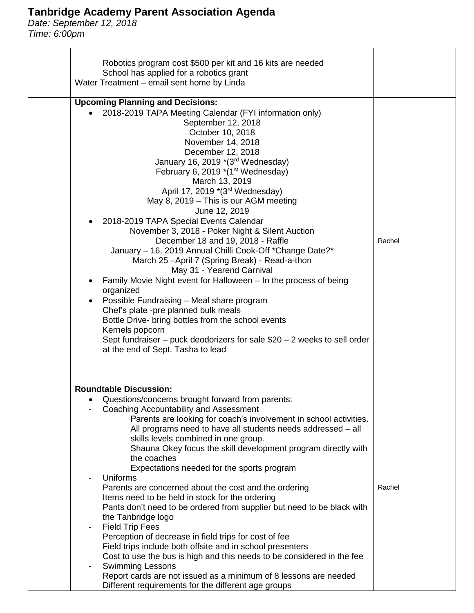*Date: September 12, 2018 Time: 6:00pm*

| Robotics program cost \$500 per kit and 16 kits are needed                                                              |        |
|-------------------------------------------------------------------------------------------------------------------------|--------|
| School has applied for a robotics grant                                                                                 |        |
| Water Treatment - email sent home by Linda                                                                              |        |
| <b>Upcoming Planning and Decisions:</b>                                                                                 |        |
| 2018-2019 TAPA Meeting Calendar (FYI information only)                                                                  |        |
| September 12, 2018                                                                                                      |        |
| October 10, 2018                                                                                                        |        |
| November 14, 2018                                                                                                       |        |
| December 12, 2018                                                                                                       |        |
| January 16, 2019 *(3rd Wednesday)                                                                                       |        |
| February 6, 2019 *(1st Wednesday)                                                                                       |        |
| March 13, 2019                                                                                                          |        |
| April 17, 2019 *(3rd Wednesday)                                                                                         |        |
| May 8, 2019 – This is our AGM meeting                                                                                   |        |
| June 12, 2019                                                                                                           |        |
| 2018-2019 TAPA Special Events Calendar<br>November 3, 2018 - Poker Night & Silent Auction                               |        |
| December 18 and 19, 2018 - Raffle                                                                                       | Rachel |
| January - 16, 2019 Annual Chilli Cook-Off *Change Date?*                                                                |        |
| March 25-April 7 (Spring Break) - Read-a-thon                                                                           |        |
| May 31 - Yearend Carnival                                                                                               |        |
| Family Movie Night event for Halloween - In the process of being<br>$\bullet$                                           |        |
| organized                                                                                                               |        |
| Possible Fundraising - Meal share program<br>$\bullet$                                                                  |        |
| Chef's plate -pre planned bulk meals                                                                                    |        |
| Bottle Drive- bring bottles from the school events<br>Kernels popcorn                                                   |        |
| Sept fundraiser – puck deodorizers for sale $$20 - 2$ weeks to sell order                                               |        |
| at the end of Sept. Tasha to lead                                                                                       |        |
|                                                                                                                         |        |
|                                                                                                                         |        |
| <b>Roundtable Discussion:</b>                                                                                           |        |
| Questions/concerns brought forward from parents:                                                                        |        |
| Coaching Accountability and Assessment                                                                                  |        |
| Parents are looking for coach's involvement in school activities.                                                       |        |
| All programs need to have all students needs addressed - all                                                            |        |
| skills levels combined in one group.                                                                                    |        |
| Shauna Okey focus the skill development program directly with                                                           |        |
| the coaches                                                                                                             |        |
| Expectations needed for the sports program<br>Uniforms                                                                  |        |
| Parents are concerned about the cost and the ordering                                                                   | Rachel |
| Items need to be held in stock for the ordering                                                                         |        |
| Pants don't need to be ordered from supplier but need to be black with                                                  |        |
| the Tanbridge logo                                                                                                      |        |
| <b>Field Trip Fees</b><br>$\overline{\phantom{a}}$                                                                      |        |
| Perception of decrease in field trips for cost of fee                                                                   |        |
| Field trips include both offsite and in school presenters                                                               |        |
| Cost to use the bus is high and this needs to be considered in the fee                                                  |        |
| <b>Swimming Lessons</b>                                                                                                 |        |
| Report cards are not issued as a minimum of 8 lessons are needed<br>Different requirements for the different age groups |        |
|                                                                                                                         |        |